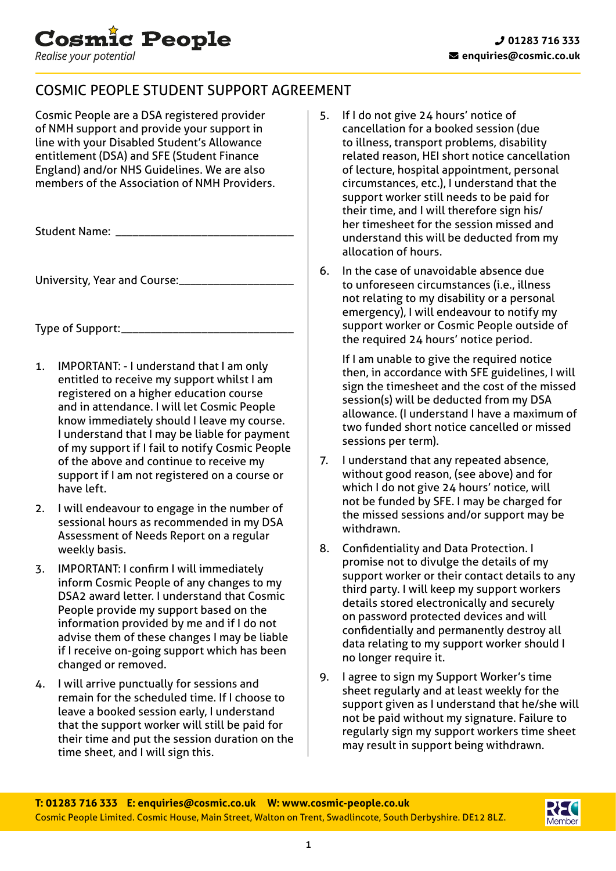

# COSMIC PEOPLE STUDENT SUPPORT AGREEMENT

Cosmic People are a DSA registered provider of NMH support and provide your support in line with your Disabled Student's Allowance entitlement (DSA) and SFE (Student Finance England) and/or NHS Guidelines. We are also members of the Association of NMH Providers.

Student Name: \_

University, Year and Course:\_\_\_\_\_\_\_\_\_\_\_\_\_\_\_\_\_\_\_\_

Type of Support:\_\_\_\_\_\_\_\_\_\_\_\_\_\_\_\_\_\_\_\_\_\_\_\_\_\_\_\_\_\_

- 1. IMPORTANT: I understand that I am only entitled to receive my support whilst I am registered on a higher education course and in attendance. I will let Cosmic People know immediately should I leave my course. I understand that I may be liable for payment of my support if I fail to notify Cosmic People of the above and continue to receive my support if I am not registered on a course or have left.
- 2. I will endeavour to engage in the number of sessional hours as recommended in my DSA Assessment of Needs Report on a regular weekly basis.
- 3. IMPORTANT: I confirm I will immediately inform Cosmic People of any changes to my DSA2 award letter. I understand that Cosmic People provide my support based on the information provided by me and if I do not advise them of these changes I may be liable if I receive on-going support which has been changed or removed.
- 4. I will arrive punctually for sessions and remain for the scheduled time. If I choose to leave a booked session early, I understand that the support worker will still be paid for their time and put the session duration on the time sheet, and I will sign this.
- 5. If I do not give 24 hours' notice of cancellation for a booked session (due to illness, transport problems, disability related reason, HEI short notice cancellation of lecture, hospital appointment, personal circumstances, etc.), I understand that the support worker still needs to be paid for their time, and I will therefore sign his/ her timesheet for the session missed and understand this will be deducted from my allocation of hours.
- 6. In the case of unavoidable absence due to unforeseen circumstances (i.e., illness not relating to my disability or a personal emergency), I will endeavour to notify my support worker or Cosmic People outside of the required 24 hours' notice period.

 If I am unable to give the required notice then, in accordance with SFE guidelines, I will sign the timesheet and the cost of the missed session(s) will be deducted from my DSA allowance. (I understand I have a maximum of two funded short notice cancelled or missed sessions per term).

- 7. I understand that any repeated absence, without good reason, (see above) and for which I do not give 24 hours' notice, will not be funded by SFE. I may be charged for the missed sessions and/or support may be withdrawn.
- 8. Confidentiality and Data Protection. I promise not to divulge the details of my support worker or their contact details to any third party. I will keep my support workers details stored electronically and securely on password protected devices and will confidentially and permanently destroy all data relating to my support worker should I no longer require it.
- 9. I agree to sign my Support Worker's time sheet regularly and at least weekly for the support given as I understand that he/she will not be paid without my signature. Failure to regularly sign my support workers time sheet may result in support being withdrawn.

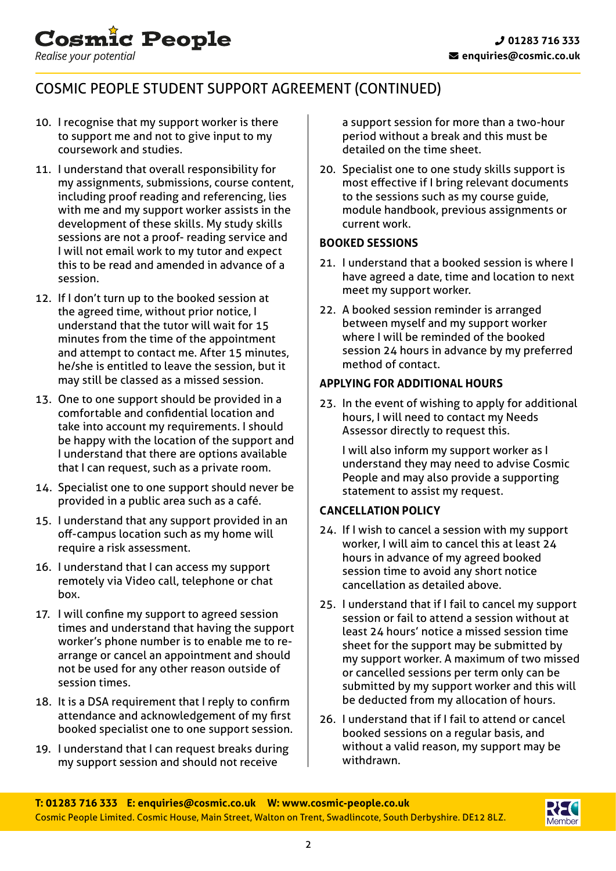# COSMIC PEOPLE STUDENT SUPPORT AGREEMENT (CONTINUED)

10. I recognise that my support worker is there to support me and not to give input to my coursework and studies.

**Cosmic People** 

Realise your potential

- 11. I understand that overall responsibility for my assignments, submissions, course content, including proof reading and referencing, lies with me and my support worker assists in the development of these skills. My study skills sessions are not a proof- reading service and I will not email work to my tutor and expect this to be read and amended in advance of a session.
- 12. If I don't turn up to the booked session at the agreed time, without prior notice, I understand that the tutor will wait for 15 minutes from the time of the appointment and attempt to contact me. After 15 minutes, he/she is entitled to leave the session, but it may still be classed as a missed session.
- 13. One to one support should be provided in a comfortable and confidential location and take into account my requirements. I should be happy with the location of the support and I understand that there are options available that I can request, such as a private room.
- 14. Specialist one to one support should never be provided in a public area such as a café.
- 15. I understand that any support provided in an off-campus location such as my home will require a risk assessment.
- 16. I understand that I can access my support remotely via Video call, telephone or chat box.
- 17. I will confine my support to agreed session times and understand that having the support worker's phone number is to enable me to rearrange or cancel an appointment and should not be used for any other reason outside of session times.
- 18. It is a DSA requirement that I reply to confirm attendance and acknowledgement of my first booked specialist one to one support session.
- 19. I understand that I can request breaks during my support session and should not receive

a support session for more than a two-hour period without a break and this must be detailed on the time sheet.

20. Specialist one to one study skills support is most effective if I bring relevant documents to the sessions such as my course guide, module handbook, previous assignments or current work.

## **BOOKED SESSIONS**

- 21. I understand that a booked session is where I have agreed a date, time and location to next meet my support worker.
- 22. A booked session reminder is arranged between myself and my support worker where I will be reminded of the booked session 24 hours in advance by my preferred method of contact.

## **APPLYING FOR ADDITIONAL HOURS**

23. In the event of wishing to apply for additional hours, I will need to contact my Needs Assessor directly to request this.

 I will also inform my support worker as I understand they may need to advise Cosmic People and may also provide a supporting statement to assist my request.

## **CANCELLATION POLICY**

- 24. If I wish to cancel a session with my support worker, I will aim to cancel this at least 24 hours in advance of my agreed booked session time to avoid any short notice cancellation as detailed above.
- 25. I understand that if I fail to cancel my support session or fail to attend a session without at least 24 hours' notice a missed session time sheet for the support may be submitted by my support worker. A maximum of two missed or cancelled sessions per term only can be submitted by my support worker and this will be deducted from my allocation of hours.
- 26. I understand that if I fail to attend or cancel booked sessions on a regular basis, and without a valid reason, my support may be withdrawn.